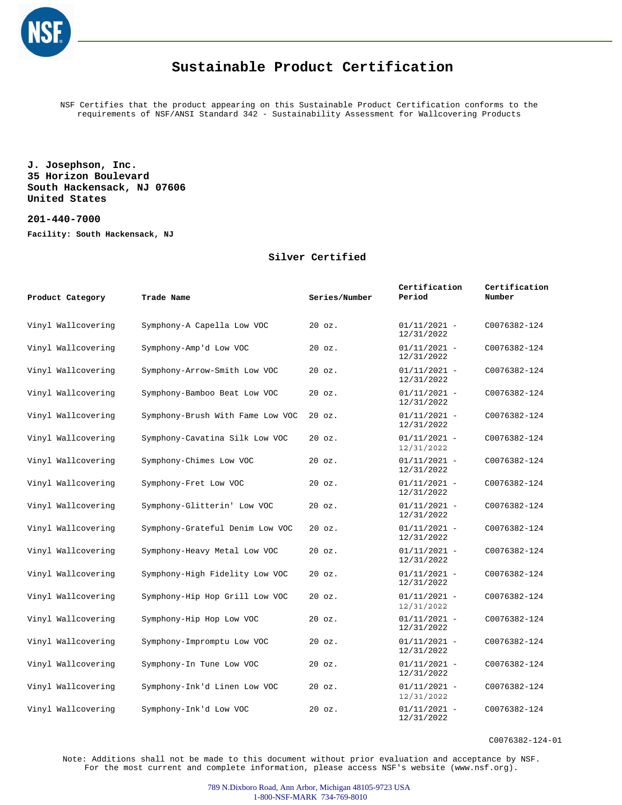

NSF Certifies that the product appearing on this Sustainable Product Certification conforms to the requirements of NSF/ANSI Standard 342 - Sustainability Assessment for Wallcovering Products

**J. Josephson, Inc. 35 Horizon Boulevard South Hackensack, NJ 07606 United States**

**201-440-7000**

**Facility: South Hackensack, NJ**

#### **Silver Certified**

| Product Category   | Trade Name                       | Series/Number | Certification<br>Period      | Certification<br>Number |
|--------------------|----------------------------------|---------------|------------------------------|-------------------------|
| Vinyl Wallcovering | Symphony-A Capella Low VOC       | $20$ $oz.$    | $01/11/2021 -$<br>12/31/2022 | C0076382-124            |
| Vinyl Wallcovering | Symphony-Amp'd Low VOC           | $20$ $oz.$    | $01/11/2021 -$<br>12/31/2022 | C0076382-124            |
| Vinyl Wallcovering | Symphony-Arrow-Smith Low VOC     | 20 oz.        | $01/11/2021 -$<br>12/31/2022 | C0076382-124            |
| Vinyl Wallcovering | Symphony-Bamboo Beat Low VOC     | $20$ $oz.$    | $01/11/2021 -$<br>12/31/2022 | C0076382-124            |
| Vinyl Wallcovering | Symphony-Brush With Fame Low VOC | $20$ $oz.$    | $01/11/2021 -$<br>12/31/2022 | C0076382-124            |
| Vinyl Wallcovering | Symphony-Cavatina Silk Low VOC   | $20$ $oz.$    | $01/11/2021 -$<br>12/31/2022 | C0076382-124            |
| Vinyl Wallcovering | Symphony-Chimes Low VOC          | $20$ $oz.$    | $01/11/2021 -$<br>12/31/2022 | C0076382-124            |
| Vinyl Wallcovering | Symphony-Fret Low VOC            | 20 oz.        | $01/11/2021 -$<br>12/31/2022 | C0076382-124            |
| Vinyl Wallcovering | Symphony-Glitterin' Low VOC      | $20$ $oz.$    | $01/11/2021 -$<br>12/31/2022 | C0076382-124            |
| Vinyl Wallcovering | Symphony-Grateful Denim Low VOC  | $20$ $oz.$    | $01/11/2021 -$<br>12/31/2022 | C0076382-124            |
| Vinyl Wallcovering | Symphony-Heavy Metal Low VOC     | 20 oz.        | $01/11/2021 -$<br>12/31/2022 | C0076382-124            |
| Vinyl Wallcovering | Symphony-High Fidelity Low VOC   | $20$ $oz.$    | $01/11/2021 -$<br>12/31/2022 | C0076382-124            |
| Vinyl Wallcovering | Symphony-Hip Hop Grill Low VOC   | $20$ $oz.$    | $01/11/2021 -$<br>12/31/2022 | C0076382-124            |
| Vinyl Wallcovering | Symphony-Hip Hop Low VOC         | 20 oz.        | $01/11/2021 -$<br>12/31/2022 | C0076382-124            |
| Vinyl Wallcovering | Symphony-Impromptu Low VOC       | $20$ $oz.$    | $01/11/2021 -$<br>12/31/2022 | C0076382-124            |
| Vinyl Wallcovering | Symphony-In Tune Low VOC         | $20$ $oz.$    | $01/11/2021 -$<br>12/31/2022 | C0076382-124            |
| Vinyl Wallcovering | Symphony-Ink'd Linen Low VOC     | 20 oz.        | $01/11/2021 -$<br>12/31/2022 | C0076382-124            |
| Vinyl Wallcovering | Symphony-Ink'd Low VOC           | $20$ $oz.$    | $01/11/2021 -$<br>12/31/2022 | C0076382-124            |

C0076382-124-01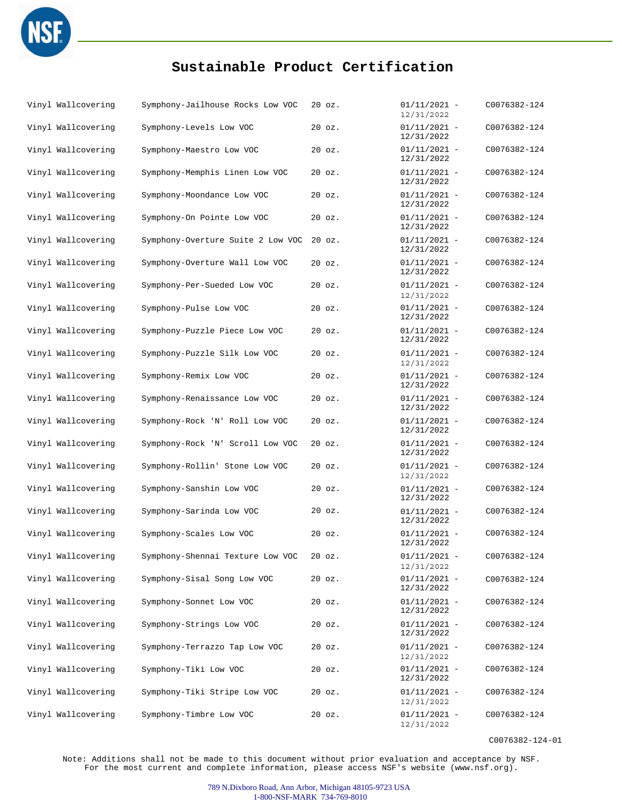

| Vinyl Wallcovering | Symphony-Jailhouse Rocks Low VOC  | $20$ $oz.$ | $01/11/2021 -$<br>12/31/2022 | C0076382-124 |
|--------------------|-----------------------------------|------------|------------------------------|--------------|
| Vinyl Wallcovering | Symphony-Levels Low VOC           | $20$ $oz.$ | $01/11/2021 -$<br>12/31/2022 | C0076382-124 |
| Vinyl Wallcovering | Symphony-Maestro Low VOC          | $20$ $oz.$ | $01/11/2021 -$<br>12/31/2022 | C0076382-124 |
| Vinyl Wallcovering | Symphony-Memphis Linen Low VOC    | $20$ $oz.$ | $01/11/2021 -$<br>12/31/2022 | C0076382-124 |
| Vinyl Wallcovering | Symphony-Moondance Low VOC        | 20 oz.     | $01/11/2021 -$<br>12/31/2022 | C0076382-124 |
| Vinyl Wallcovering | Symphony-On Pointe Low VOC        | $20$ $oz.$ | $01/11/2021 -$<br>12/31/2022 | C0076382-124 |
| Vinyl Wallcovering | Symphony-Overture Suite 2 Low VOC | $20$ $oz.$ | $01/11/2021 -$<br>12/31/2022 | C0076382-124 |
| Vinyl Wallcovering | Symphony-Overture Wall Low VOC    | $20$ $oz.$ | $01/11/2021 -$<br>12/31/2022 | C0076382-124 |
| Vinyl Wallcovering | Symphony-Per-Sueded Low VOC       | $20$ $oz.$ | $01/11/2021 -$<br>12/31/2022 | C0076382-124 |
| Vinyl Wallcovering | Symphony-Pulse Low VOC            | $20$ $oz.$ | $01/11/2021 -$<br>12/31/2022 | C0076382-124 |
| Vinyl Wallcovering | Symphony-Puzzle Piece Low VOC     | $20$ $oz.$ | $01/11/2021 -$<br>12/31/2022 | C0076382-124 |
| Vinyl Wallcovering | Symphony-Puzzle Silk Low VOC      | $20$ $oz.$ | $01/11/2021 -$<br>12/31/2022 | C0076382-124 |
| Vinyl Wallcovering | Symphony-Remix Low VOC            | 20 oz.     | $01/11/2021 -$<br>12/31/2022 | C0076382-124 |
| Vinyl Wallcovering | Symphony-Renaissance Low VOC      | $20$ $oz.$ | $01/11/2021 -$<br>12/31/2022 | C0076382-124 |
| Vinyl Wallcovering | Symphony-Rock 'N' Roll Low VOC    | $20$ $oz.$ | $01/11/2021 -$<br>12/31/2022 | C0076382-124 |
| Vinyl Wallcovering | Symphony-Rock 'N' Scroll Low VOC  | $20$ $oz.$ | $01/11/2021 -$<br>12/31/2022 | C0076382-124 |
| Vinyl Wallcovering | Symphony-Rollin' Stone Low VOC    | $20$ $oz.$ | $01/11/2021 -$<br>12/31/2022 | C0076382-124 |
| Vinyl Wallcovering | Symphony-Sanshin Low VOC          | 20 oz.     | $01/11/2021 -$<br>12/31/2022 | C0076382-124 |
| Vinyl Wallcovering | Symphony-Sarinda Low VOC          | 20 oz.     | $01/11/2021 -$<br>12/31/2022 | C0076382-124 |
| Vinyl Wallcovering | Symphony-Scales Low VOC           | $20$ $oz.$ | $01/11/2021 -$<br>12/31/2022 | C0076382-124 |
| Vinyl Wallcovering | Symphony-Shennai Texture Low VOC  | $20$ $oz.$ | $01/11/2021 -$<br>12/31/2022 | C0076382-124 |
| Vinyl Wallcovering | Symphony-Sisal Song Low VOC       | $20$ $oz.$ | $01/11/2021 -$<br>12/31/2022 | C0076382-124 |
| Vinyl Wallcovering | Symphony-Sonnet Low VOC           | $20$ $oz.$ | $01/11/2021 -$<br>12/31/2022 | C0076382-124 |
| Vinyl Wallcovering | Symphony-Strings Low VOC          | $20$ $oz.$ | $01/11/2021 -$<br>12/31/2022 | C0076382-124 |
| Vinyl Wallcovering | Symphony-Terrazzo Tap Low VOC     | $20$ $oz.$ | $01/11/2021 -$<br>12/31/2022 | C0076382-124 |
| Vinyl Wallcovering | Symphony-Tiki Low VOC             | $20$ $oz.$ | $01/11/2021 -$<br>12/31/2022 | C0076382-124 |
| Vinyl Wallcovering | Symphony-Tiki Stripe Low VOC      | $20$ $oz.$ | $01/11/2021 -$<br>12/31/2022 | C0076382-124 |
| Vinyl Wallcovering | Symphony-Timbre Low VOC           | $20$ $oz.$ | $01/11/2021 -$<br>12/31/2022 | C0076382-124 |

C0076382-124-01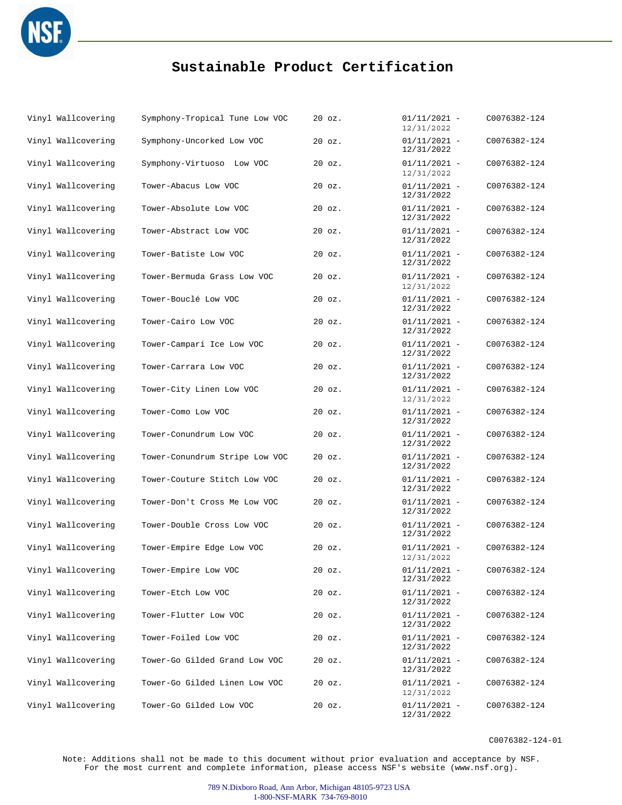

| Vinyl Wallcovering | Symphony-Tropical Tune Low VOC | $20$ $oz.$ | $01/11/2021 -$<br>12/31/2022 | C0076382-124 |
|--------------------|--------------------------------|------------|------------------------------|--------------|
| Vinyl Wallcovering | Symphony-Uncorked Low VOC      | $20$ $oz.$ | $01/11/2021 -$<br>12/31/2022 | C0076382-124 |
| Vinyl Wallcovering | Symphony-Virtuoso Low VOC      | 20 oz.     | $01/11/2021 -$<br>12/31/2022 | C0076382-124 |
| Vinyl Wallcovering | Tower-Abacus Low VOC           | 20 oz.     | $01/11/2021 -$<br>12/31/2022 | C0076382-124 |
| Vinyl Wallcovering | Tower-Absolute Low VOC         | $20$ $oz.$ | $01/11/2021 -$<br>12/31/2022 | C0076382-124 |
| Vinyl Wallcovering | Tower-Abstract Low VOC         | 20 oz.     | $01/11/2021 -$<br>12/31/2022 | C0076382-124 |
| Vinyl Wallcovering | Tower-Batiste Low VOC          | $20$ $oz.$ | $01/11/2021 -$<br>12/31/2022 | C0076382-124 |
| Vinyl Wallcovering | Tower-Bermuda Grass Low VOC    | $20$ $oz.$ | $01/11/2021 -$<br>12/31/2022 | C0076382-124 |
| Vinyl Wallcovering | Tower-Bouclé Low VOC           | $20$ $oz.$ | $01/11/2021 -$<br>12/31/2022 | C0076382-124 |
| Vinyl Wallcovering | Tower-Cairo Low VOC            | $20$ $oz.$ | $01/11/2021 -$<br>12/31/2022 | C0076382-124 |
| Vinyl Wallcovering | Tower-Campari Ice Low VOC      | 20 oz.     | $01/11/2021 -$<br>12/31/2022 | C0076382-124 |
| Vinyl Wallcovering | Tower-Carrara Low VOC          | $20$ $oz.$ | $01/11/2021 -$<br>12/31/2022 | C0076382-124 |
| Vinyl Wallcovering | Tower-City Linen Low VOC       | 20 oz.     | $01/11/2021 -$<br>12/31/2022 | C0076382-124 |
| Vinyl Wallcovering | Tower-Como Low VOC             | 20 oz.     | $01/11/2021 -$<br>12/31/2022 | C0076382-124 |
| Vinyl Wallcovering | Tower-Conundrum Low VOC        | $20$ $oz.$ | $01/11/2021 -$<br>12/31/2022 | C0076382-124 |
| Vinyl Wallcovering | Tower-Conundrum Stripe Low VOC | $20$ $oz.$ | $01/11/2021 -$<br>12/31/2022 | C0076382-124 |
| Vinyl Wallcovering | Tower-Couture Stitch Low VOC   | $20$ $oz.$ | $01/11/2021 -$<br>12/31/2022 | C0076382-124 |
| Vinyl Wallcovering | Tower-Don't Cross Me Low VOC   | $20$ $oz.$ | $01/11/2021 -$<br>12/31/2022 | C0076382-124 |
| Vinyl Wallcovering | Tower-Double Cross Low VOC     | 20 oz.     | $01/11/2021 -$<br>12/31/2022 | C0076382-124 |
| Vinyl Wallcovering | Tower-Empire Edge Low VOC      | $20$ $oz.$ | $01/11/2021 -$<br>12/31/2022 | C0076382-124 |
| Vinyl Wallcovering | Tower-Empire Low VOC           | 20 oz.     | $01/11/2021 -$<br>12/31/2022 | C0076382-124 |
| Vinyl Wallcovering | Tower-Etch Low VOC             | $20$ $oz.$ | $01/11/2021 -$<br>12/31/2022 | C0076382-124 |
| Vinyl Wallcovering | Tower-Flutter Low VOC          | $20$ $oz.$ | $01/11/2021 -$<br>12/31/2022 | C0076382-124 |
| Vinyl Wallcovering | Tower-Foiled Low VOC           | $20$ $oz.$ | $01/11/2021 -$<br>12/31/2022 | C0076382-124 |
| Vinyl Wallcovering | Tower-Go Gilded Grand Low VOC  | $20$ $oz.$ | $01/11/2021 -$<br>12/31/2022 | C0076382-124 |
| Vinyl Wallcovering | Tower-Go Gilded Linen Low VOC  | $20$ $oz.$ | $01/11/2021 -$<br>12/31/2022 | C0076382-124 |
| Vinyl Wallcovering | Tower-Go Gilded Low VOC        | 20 oz.     | $01/11/2021 -$<br>12/31/2022 | C0076382-124 |

C0076382-124-01